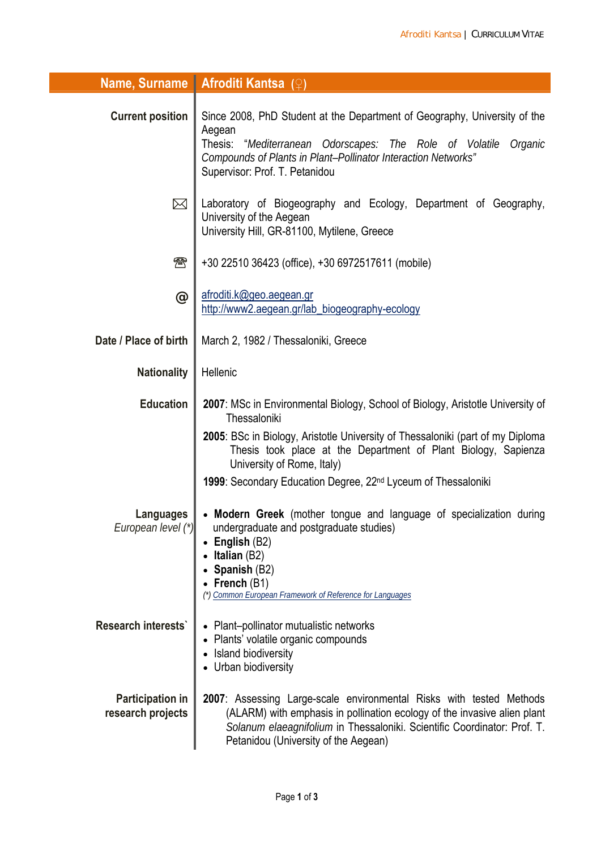| Name, Surname                                | <b>Afroditi Kantsa</b> (♀)                                                                                                                                                                                                                                          |
|----------------------------------------------|---------------------------------------------------------------------------------------------------------------------------------------------------------------------------------------------------------------------------------------------------------------------|
| <b>Current position</b>                      | Since 2008, PhD Student at the Department of Geography, University of the<br>Aegean<br>Thesis: "Mediterranean Odorscapes: The Role of Volatile<br>Organic<br>Compounds of Plants in Plant-Pollinator Interaction Networks"<br>Supervisor: Prof. T. Petanidou        |
| $\boxtimes$                                  | Laboratory of Biogeography and Ecology, Department of Geography,<br>University of the Aegean<br>University Hill, GR-81100, Mytilene, Greece                                                                                                                         |
| $\boldsymbol{\textcircled{\tiny\textsf{R}}}$ | +30 22510 36423 (office), +30 6972517611 (mobile)                                                                                                                                                                                                                   |
| $\bm{\varpi}$                                | afroditi.k@geo.aegean.gr<br>http://www2.aegean.gr/lab_biogeography-ecology                                                                                                                                                                                          |
| Date / Place of birth                        | March 2, 1982 / Thessaloniki, Greece                                                                                                                                                                                                                                |
| <b>Nationality</b>                           | Hellenic                                                                                                                                                                                                                                                            |
| <b>Education</b>                             | 2007: MSc in Environmental Biology, School of Biology, Aristotle University of<br>Thessaloniki                                                                                                                                                                      |
|                                              | 2005: BSc in Biology, Aristotle University of Thessaloniki (part of my Diploma<br>Thesis took place at the Department of Plant Biology, Sapienza<br>University of Rome, Italy)                                                                                      |
|                                              | 1999: Secondary Education Degree, 22 <sup>nd</sup> Lyceum of Thessaloniki                                                                                                                                                                                           |
| Languages<br>European level (*)              | • Modern Greek (mother tongue and language of specialization during<br>undergraduate and postgraduate studies)<br>English (B2)<br>Italian (B2)<br>Spanish (B2)<br>French (B1)<br>(*) Common European Framework of Reference for Languages                           |
| Research interests'                          | Plant-pollinator mutualistic networks<br>Plants' volatile organic compounds<br>Island biodiversity<br>Urban biodiversity                                                                                                                                            |
| <b>Participation in</b><br>research projects | 2007: Assessing Large-scale environmental Risks with tested Methods<br>(ALARM) with emphasis in pollination ecology of the invasive alien plant<br>Solanum elaeagnifolium in Thessaloniki. Scientific Coordinator: Prof. T.<br>Petanidou (University of the Aegean) |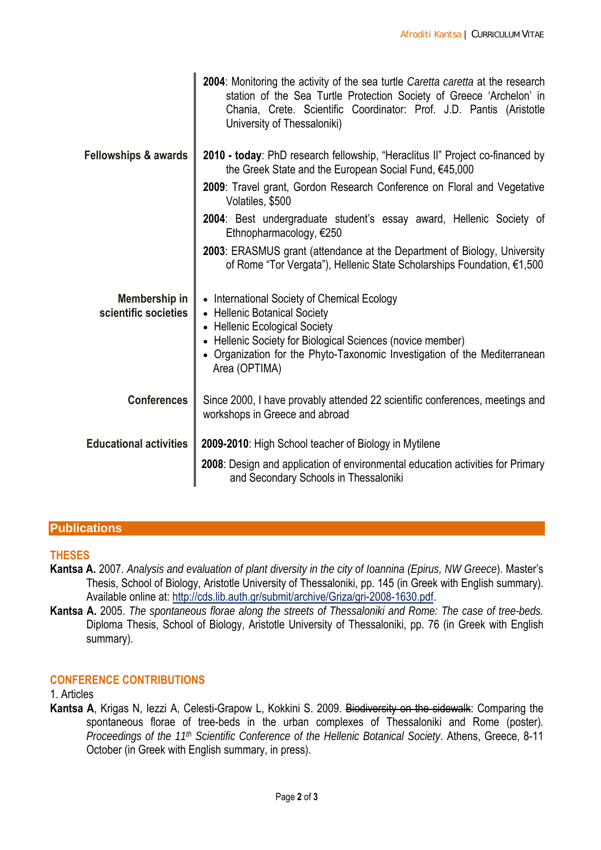|                                       | <b>2004:</b> Monitoring the activity of the sea turtle <i>Caretta caretta</i> at the research<br>station of the Sea Turtle Protection Society of Greece 'Archelon' in<br>Chania, Crete. Scientific Coordinator: Prof. J.D. Pantis (Aristotle<br>University of Thessaloniki) |
|---------------------------------------|-----------------------------------------------------------------------------------------------------------------------------------------------------------------------------------------------------------------------------------------------------------------------------|
| <b>Fellowships &amp; awards</b>       | 2010 - today: PhD research fellowship, "Heraclitus II" Project co-financed by<br>the Greek State and the European Social Fund, €45,000                                                                                                                                      |
|                                       | 2009: Travel grant, Gordon Research Conference on Floral and Vegetative<br>Volatiles, \$500                                                                                                                                                                                 |
|                                       | 2004: Best undergraduate student's essay award, Hellenic Society of<br>Ethnopharmacology, €250                                                                                                                                                                              |
|                                       | 2003: ERASMUS grant (attendance at the Department of Biology, University<br>of Rome "Tor Vergata"), Hellenic State Scholarships Foundation, €1,500                                                                                                                          |
| Membership in<br>scientific societies | • International Society of Chemical Ecology<br>• Hellenic Botanical Society<br>• Hellenic Ecological Society<br>• Hellenic Society for Biological Sciences (novice member)<br>• Organization for the Phyto-Taxonomic Investigation of the Mediterranean<br>Area (OPTIMA)    |
| <b>Conferences</b>                    | Since 2000, I have provably attended 22 scientific conferences, meetings and<br>workshops in Greece and abroad                                                                                                                                                              |
| <b>Educational activities</b>         | 2009-2010: High School teacher of Biology in Mytilene                                                                                                                                                                                                                       |
|                                       | 2008: Design and application of environmental education activities for Primary<br>and Secondary Schools in Thessaloniki                                                                                                                                                     |

## **Publications**

## **THESES**

- **Kantsa A.** 2007. *Analysis and evaluation of plant diversity in the city of Ioannina (Epirus, NW Greece*). Master's Thesis, School of Biology, Aristotle University of Thessaloniki, pp. 145 (in Greek with English summary). Available online at: [http://cds.lib.auth.gr/submit/archive/Griza/gri-2008-1630.pdf.](http://cds.lib.auth.gr/submit/archive/Griza/gri-2008-1630.pdf)
- **Kantsa A.** 2005. *The spontaneous florae along the streets of Thessaloniki and Rome: The case of tree-beds.*  Diploma Thesis, School of Biology, Aristotle University of Thessaloniki, pp. 76 (in Greek with English summary).

## **CONFERENCE CONTRIBUTIONS**

## 1. Articles

**Kantsa A**, Krigas N, Iezzi A, Celesti-Grapow L, Kokkini S. 2009. Biodiversity on the sidewalk: Comparing the spontaneous florae of tree-beds in the urban complexes of Thessaloniki and Rome (poster)*. Proceedings of the 11th Scientific Conference of the Hellenic Botanical Society*. Athens, Greece, 8-11 October (in Greek with English summary, in press).